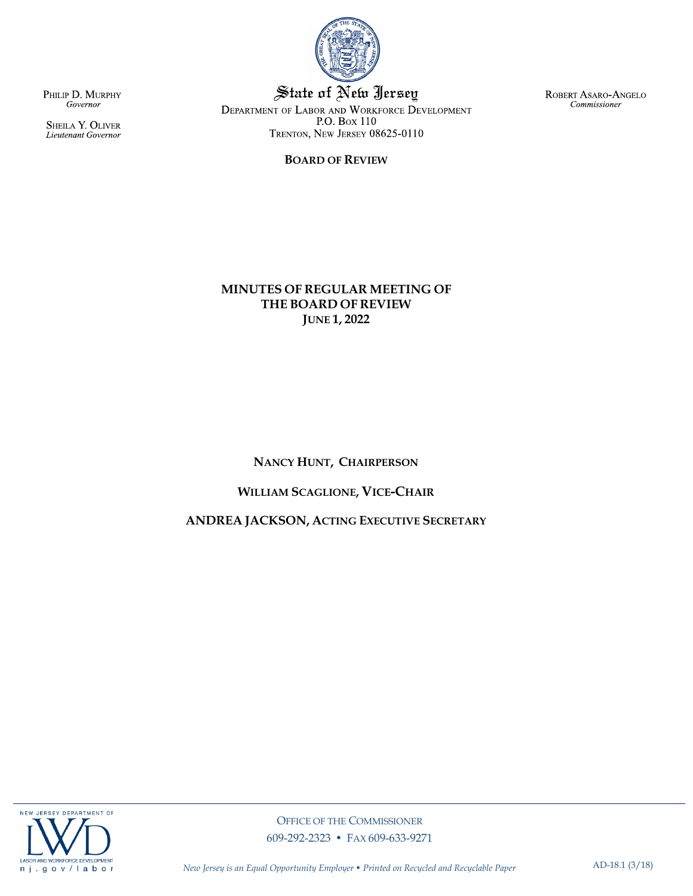

State of New Jersey DEPARTMENT OF LABOR AND WORKFORCE DEVELOPMENT P.O. Box 110 TRENTON, NEW JERSEY 08625-0110

### **BOARD OF REVIEW**

ROBERT ASARO-ANGELO Commissioner

PHILIP D. MURPHY Governor

SHEILA Y. OLIVER<br>Lieutenant Governor

### **MINUTES OF REGULAR MEETING OF THE BOARD OF REVIEW JUNE 1, 2022**

### **NANCY HUNT, CHAIRPERSON**

### **WILLIAM SCAGLIONE, VICE-CHAIR**

### **ANDREA JACKSON, ACTING EXECUTIVE SECRETARY**

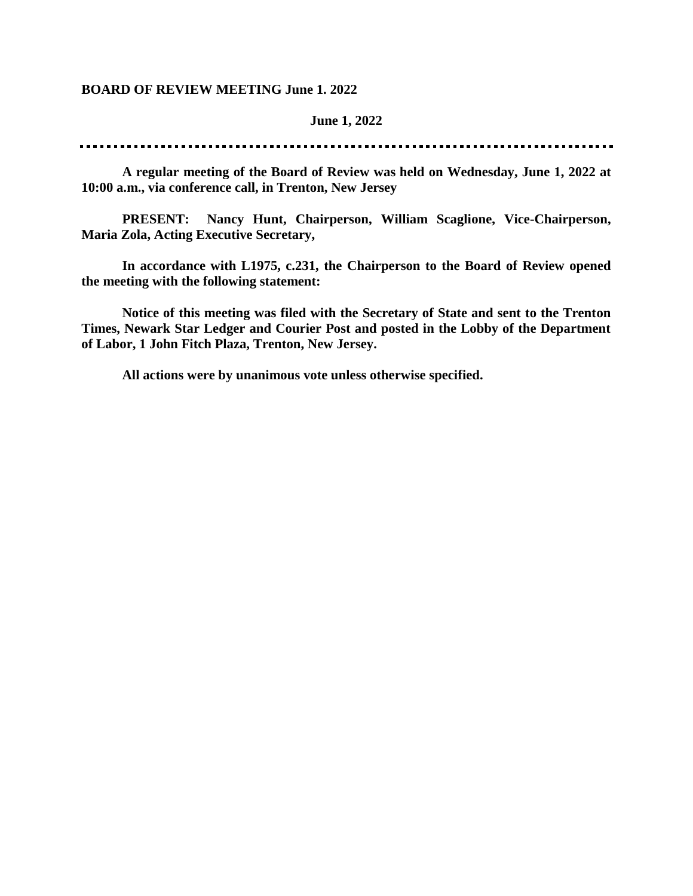### **BOARD OF REVIEW MEETING June 1. 2022**

### **June 1, 2022**

**A regular meeting of the Board of Review was held on Wednesday, June 1, 2022 at 10:00 a.m., via conference call, in Trenton, New Jersey**

**PRESENT: Nancy Hunt, Chairperson, William Scaglione, Vice-Chairperson, Maria Zola, Acting Executive Secretary,** 

**In accordance with L1975, c.231, the Chairperson to the Board of Review opened the meeting with the following statement:**

**Notice of this meeting was filed with the Secretary of State and sent to the Trenton Times, Newark Star Ledger and Courier Post and posted in the Lobby of the Department of Labor, 1 John Fitch Plaza, Trenton, New Jersey.**

**All actions were by unanimous vote unless otherwise specified.**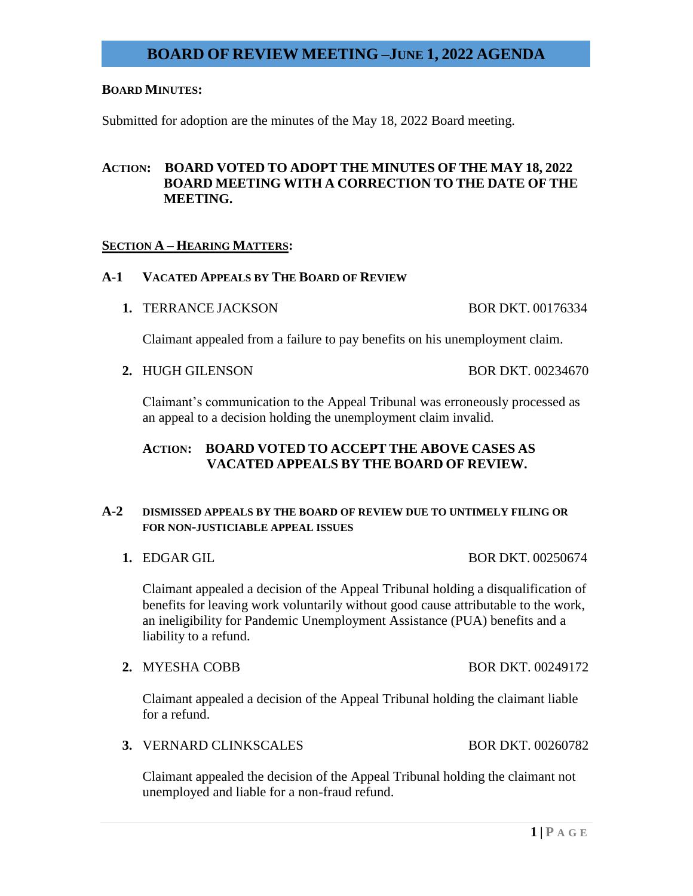### **BOARD MINUTES:**

Submitted for adoption are the minutes of the May 18, 2022 Board meeting.

### **ACTION: BOARD VOTED TO ADOPT THE MINUTES OF THE MAY 18, 2022 BOARD MEETING WITH A CORRECTION TO THE DATE OF THE MEETING.**

### **SECTION A – HEARING MATTERS:**

### **A-1 VACATED APPEALS BY THE BOARD OF REVIEW**

**1. TERRANCE JACKSON BOR DKT. 00176334** 

Claimant appealed from a failure to pay benefits on his unemployment claim.

**2.** HUGH GILENSON BOR DKT. 00234670

Claimant's communication to the Appeal Tribunal was erroneously processed as an appeal to a decision holding the unemployment claim invalid.

### **ACTION: BOARD VOTED TO ACCEPT THE ABOVE CASES AS VACATED APPEALS BY THE BOARD OF REVIEW.**

### **A-2 DISMISSED APPEALS BY THE BOARD OF REVIEW DUE TO UNTIMELY FILING OR FOR NON-JUSTICIABLE APPEAL ISSUES**

**1. EDGAR GIL BOR DKT. 00250674** 

Claimant appealed a decision of the Appeal Tribunal holding a disqualification of benefits for leaving work voluntarily without good cause attributable to the work, an ineligibility for Pandemic Unemployment Assistance (PUA) benefits and a liability to a refund.

**2.** MYESHA COBB BOR DKT. 00249172

Claimant appealed a decision of the Appeal Tribunal holding the claimant liable for a refund.

**3.** VERNARD CLINKSCALES BOR DKT. 00260782

Claimant appealed the decision of the Appeal Tribunal holding the claimant not unemployed and liable for a non-fraud refund.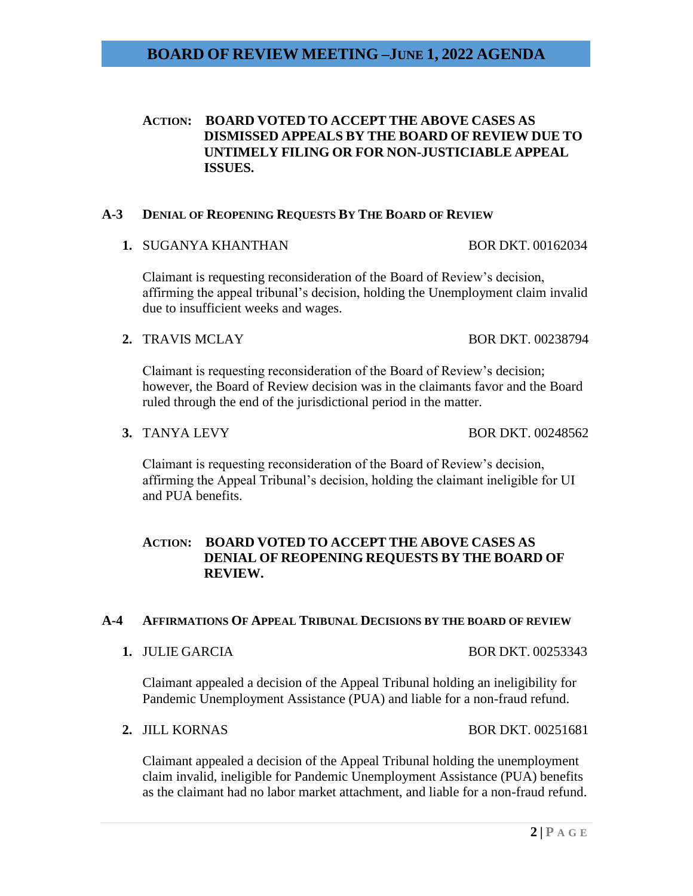### **ACTION: BOARD VOTED TO ACCEPT THE ABOVE CASES AS DISMISSED APPEALS BY THE BOARD OF REVIEW DUE TO UNTIMELY FILING OR FOR NON-JUSTICIABLE APPEAL ISSUES.**

### **A-3 DENIAL OF REOPENING REQUESTS BY THE BOARD OF REVIEW**

**1. SUGANYA KHANTHAN BOR DKT. 00162034** 

Claimant is requesting reconsideration of the Board of Review's decision, affirming the appeal tribunal's decision, holding the Unemployment claim invalid due to insufficient weeks and wages.

**2.** TRAVIS MCLAY BOR DKT. 00238794

Claimant is requesting reconsideration of the Board of Review's decision; however, the Board of Review decision was in the claimants favor and the Board ruled through the end of the jurisdictional period in the matter.

**3.** TANYA LEVY BOR DKT. 00248562

Claimant is requesting reconsideration of the Board of Review's decision, affirming the Appeal Tribunal's decision, holding the claimant ineligible for UI and PUA benefits.

### **ACTION: BOARD VOTED TO ACCEPT THE ABOVE CASES AS DENIAL OF REOPENING REQUESTS BY THE BOARD OF REVIEW.**

### **A-4 AFFIRMATIONS OF APPEAL TRIBUNAL DECISIONS BY THE BOARD OF REVIEW**

**1.** JULIE GARCIA BOR DKT. 00253343

Claimant appealed a decision of the Appeal Tribunal holding an ineligibility for Pandemic Unemployment Assistance (PUA) and liable for a non-fraud refund.

**2.** JILL KORNAS BOR DKT. 00251681

Claimant appealed a decision of the Appeal Tribunal holding the unemployment claim invalid, ineligible for Pandemic Unemployment Assistance (PUA) benefits as the claimant had no labor market attachment, and liable for a non-fraud refund.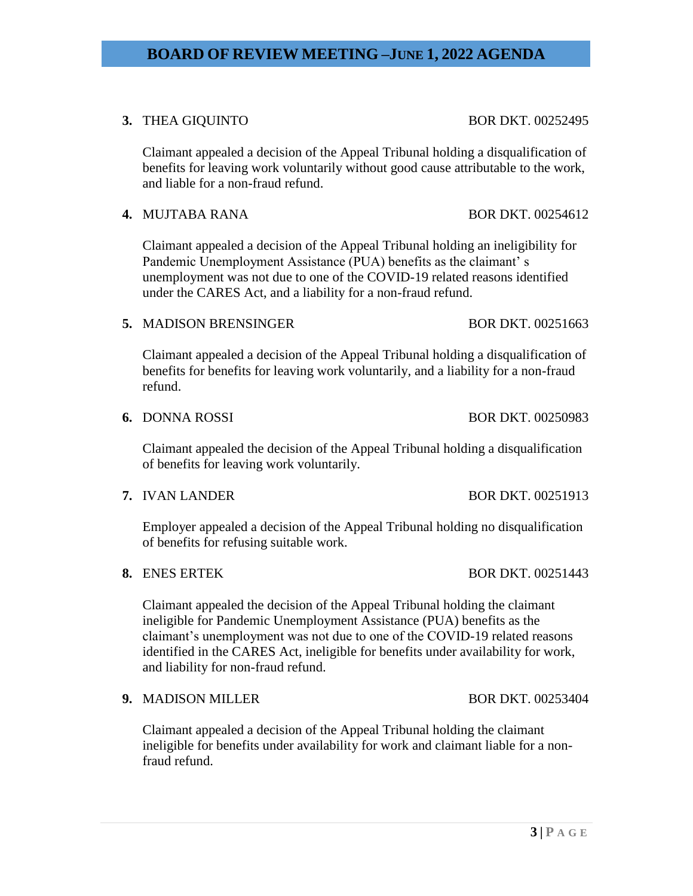**3.** THEA GIQUINTO BOR DKT. 00252495

Claimant appealed a decision of the Appeal Tribunal holding a disqualification of benefits for leaving work voluntarily without good cause attributable to the work, and liable for a non-fraud refund.

**4. MUJTABA RANA BOR DKT. 00254612** 

Claimant appealed a decision of the Appeal Tribunal holding an ineligibility for Pandemic Unemployment Assistance (PUA) benefits as the claimant' s unemployment was not due to one of the COVID-19 related reasons identified under the CARES Act, and a liability for a non-fraud refund.

### **5. MADISON BRENSINGER BOR DKT. 00251663**

Claimant appealed a decision of the Appeal Tribunal holding a disqualification of benefits for benefits for leaving work voluntarily, and a liability for a non-fraud refund.

### **6.** DONNA ROSSI BOR DKT. 00250983

Claimant appealed the decision of the Appeal Tribunal holding a disqualification of benefits for leaving work voluntarily.

|  | 7. IVAN LANDER |
|--|----------------|
|  |                |

Employer appealed a decision of the Appeal Tribunal holding no disqualification of benefits for refusing suitable work.

**8.** ENES ERTEK BOR DKT. 00251443

Claimant appealed the decision of the Appeal Tribunal holding the claimant ineligible for Pandemic Unemployment Assistance (PUA) benefits as the claimant's unemployment was not due to one of the COVID-19 related reasons identified in the CARES Act, ineligible for benefits under availability for work, and liability for non-fraud refund.

### **9.** MADISON MILLER BOR DKT. 00253404

Claimant appealed a decision of the Appeal Tribunal holding the claimant ineligible for benefits under availability for work and claimant liable for a nonfraud refund.

**BOR DKT. 00251913** 

# **BOARD OF REVIEW MEETING –JUNE 1, 2022 AGENDA**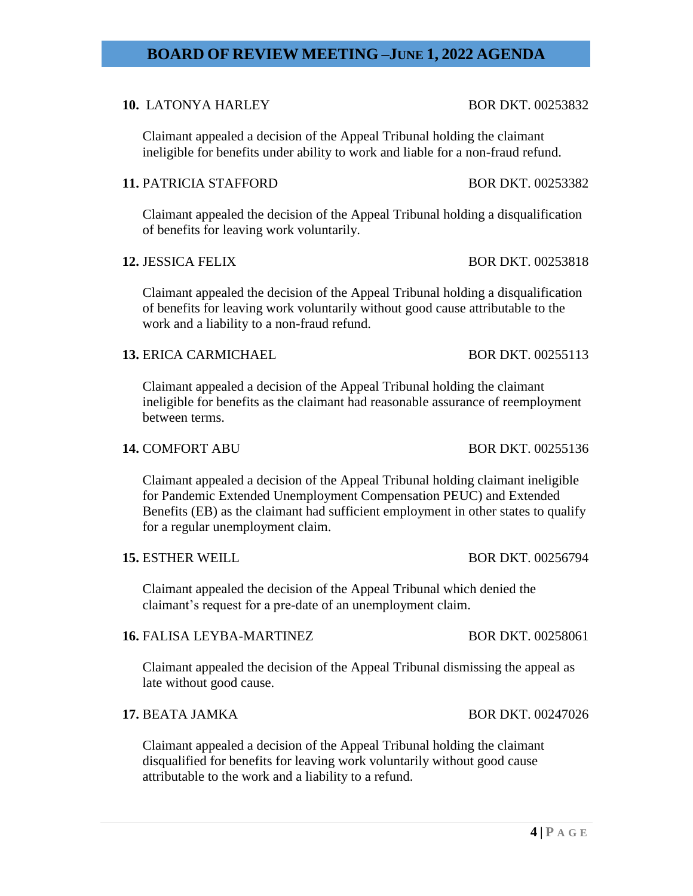Claimant appealed a decision of the Appeal Tribunal holding the claimant ineligible for benefits under ability to work and liable for a non-fraud refund.

**BOARD OF REVIEW MEETING –JUNE 1, 2022 AGENDA**

### **11. PATRICIA STAFFORD BOR DKT. 00253382**

Claimant appealed the decision of the Appeal Tribunal holding a disqualification of benefits for leaving work voluntarily.

Claimant appealed the decision of the Appeal Tribunal holding a disqualification of benefits for leaving work voluntarily without good cause attributable to the work and a liability to a non-fraud refund.

### **13.** ERICA CARMICHAEL BOR DKT. 00255113

Claimant appealed a decision of the Appeal Tribunal holding the claimant ineligible for benefits as the claimant had reasonable assurance of reemployment between terms.

### **14. COMFORT ABU BOR DKT. 00255136**

Claimant appealed a decision of the Appeal Tribunal holding claimant ineligible for Pandemic Extended Unemployment Compensation PEUC) and Extended Benefits (EB) as the claimant had sufficient employment in other states to qualify for a regular unemployment claim.

### **15.** ESTHER WEILL BOR DKT. 00256794

Claimant appealed the decision of the Appeal Tribunal which denied the claimant's request for a pre-date of an unemployment claim.

### **16.** FALISA LEYBA-MARTINEZ BOR DKT. 00258061

Claimant appealed the decision of the Appeal Tribunal dismissing the appeal as late without good cause.

### **17.** BEATA JAMKA BOR DKT. 00247026

Claimant appealed a decision of the Appeal Tribunal holding the claimant disqualified for benefits for leaving work voluntarily without good cause attributable to the work and a liability to a refund.

# **10.** LATONYA HARLEY BOR DKT. 00253832

**12.** JESSICA FELIX BOR DKT. 00253818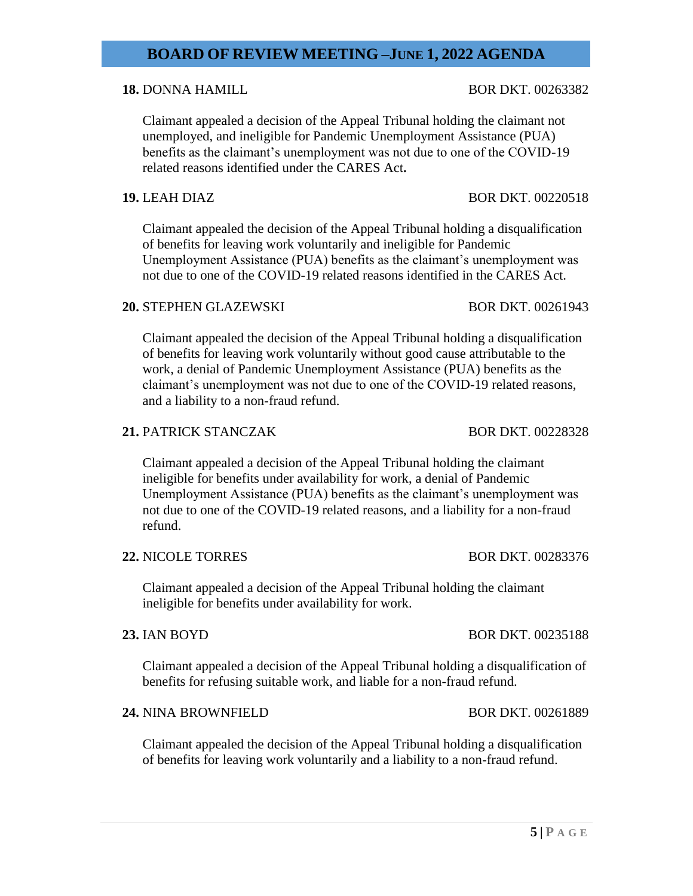### **18.** DONNA HAMILL BOR DKT. 00263382

Claimant appealed a decision of the Appeal Tribunal holding the claimant not unemployed, and ineligible for Pandemic Unemployment Assistance (PUA) benefits as the claimant's unemployment was not due to one of the COVID-19 related reasons identified under the CARES Act**.**

Claimant appealed the decision of the Appeal Tribunal holding a disqualification of benefits for leaving work voluntarily and ineligible for Pandemic Unemployment Assistance (PUA) benefits as the claimant's unemployment was not due to one of the COVID-19 related reasons identified in the CARES Act.

### **20.** STEPHEN GLAZEWSKI BOR DKT. 00261943

Claimant appealed the decision of the Appeal Tribunal holding a disqualification of benefits for leaving work voluntarily without good cause attributable to the work, a denial of Pandemic Unemployment Assistance (PUA) benefits as the claimant's unemployment was not due to one of the COVID-19 related reasons, and a liability to a non-fraud refund.

### **21. PATRICK STANCZAK BOR DKT. 00228328**

Claimant appealed a decision of the Appeal Tribunal holding the claimant ineligible for benefits under availability for work, a denial of Pandemic Unemployment Assistance (PUA) benefits as the claimant's unemployment was not due to one of the COVID-19 related reasons, and a liability for a non-fraud refund.

### **22.** NICOLE TORRES BOR DKT. 00283376

Claimant appealed a decision of the Appeal Tribunal holding the claimant ineligible for benefits under availability for work.

### **23.** IAN BOYD BOR DKT. 00235188

Claimant appealed a decision of the Appeal Tribunal holding a disqualification of benefits for refusing suitable work, and liable for a non-fraud refund.

### **24.** NINA BROWNFIELD BOR DKT. 00261889

Claimant appealed the decision of the Appeal Tribunal holding a disqualification of benefits for leaving work voluntarily and a liability to a non-fraud refund.

### **19.** LEAH DIAZ BOR DKT. 00220518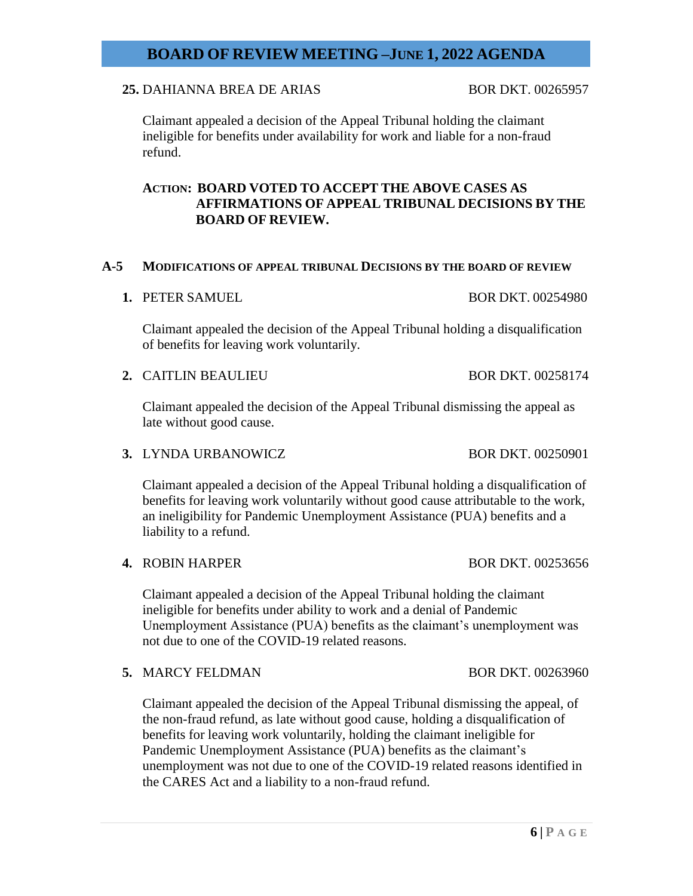### **25.** DAHIANNA BREA DE ARIAS BOR DKT. 00265957

Claimant appealed a decision of the Appeal Tribunal holding the claimant ineligible for benefits under availability for work and liable for a non-fraud refund.

### **ACTION: BOARD VOTED TO ACCEPT THE ABOVE CASES AS AFFIRMATIONS OF APPEAL TRIBUNAL DECISIONS BY THE BOARD OF REVIEW.**

### **A-5 MODIFICATIONS OF APPEAL TRIBUNAL DECISIONS BY THE BOARD OF REVIEW**

**1. PETER SAMUEL BOR DKT. 00254980** 

Claimant appealed the decision of the Appeal Tribunal holding a disqualification of benefits for leaving work voluntarily.

**2.** CAITLIN BEAULIEU BOR DKT. 00258174

Claimant appealed the decision of the Appeal Tribunal dismissing the appeal as late without good cause.

**3.** LYNDA URBANOWICZ BOR DKT. 00250901

Claimant appealed a decision of the Appeal Tribunal holding a disqualification of benefits for leaving work voluntarily without good cause attributable to the work, an ineligibility for Pandemic Unemployment Assistance (PUA) benefits and a liability to a refund.

Claimant appealed a decision of the Appeal Tribunal holding the claimant ineligible for benefits under ability to work and a denial of Pandemic Unemployment Assistance (PUA) benefits as the claimant's unemployment was not due to one of the COVID-19 related reasons.

**5.** MARCY FELDMAN BOR DKT. 00263960

Claimant appealed the decision of the Appeal Tribunal dismissing the appeal, of the non-fraud refund, as late without good cause, holding a disqualification of benefits for leaving work voluntarily, holding the claimant ineligible for Pandemic Unemployment Assistance (PUA) benefits as the claimant's unemployment was not due to one of the COVID-19 related reasons identified in the CARES Act and a liability to a non-fraud refund.

**4. ROBIN HARPER BOR DKT. 00253656**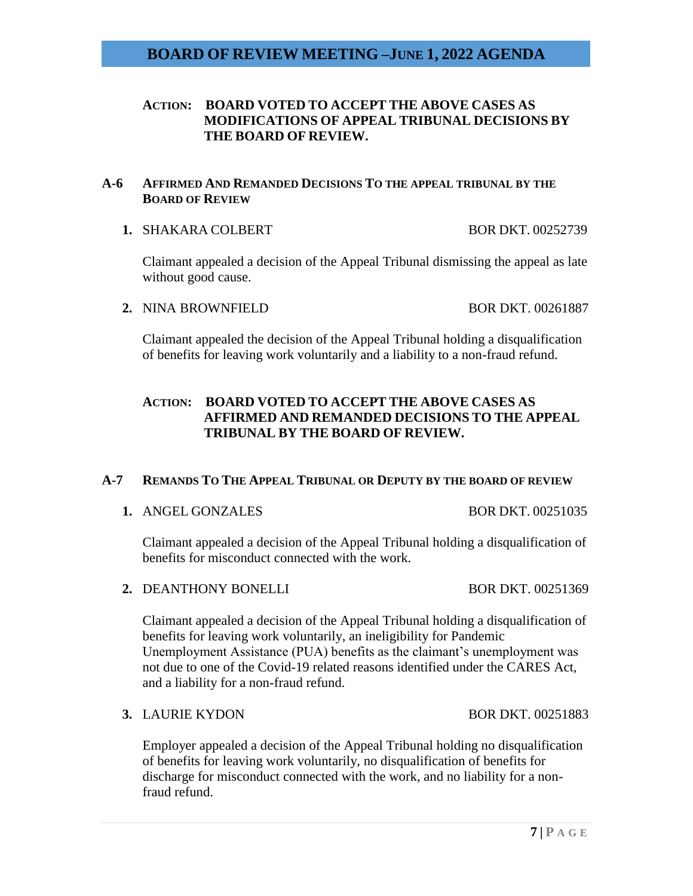### **ACTION: BOARD VOTED TO ACCEPT THE ABOVE CASES AS MODIFICATIONS OF APPEAL TRIBUNAL DECISIONS BY THE BOARD OF REVIEW.**

### **A-6 AFFIRMED AND REMANDED DECISIONS TO THE APPEAL TRIBUNAL BY THE BOARD OF REVIEW**

**1. SHAKARA COLBERT BOR DKT. 00252739** 

Claimant appealed a decision of the Appeal Tribunal dismissing the appeal as late without good cause.

### **2.** NINA BROWNFIELD BOR DKT. 00261887

Claimant appealed the decision of the Appeal Tribunal holding a disqualification of benefits for leaving work voluntarily and a liability to a non-fraud refund.

## **ACTION: BOARD VOTED TO ACCEPT THE ABOVE CASES AS AFFIRMED AND REMANDED DECISIONS TO THE APPEAL TRIBUNAL BY THE BOARD OF REVIEW.**

### **A-7 REMANDS TO THE APPEAL TRIBUNAL OR DEPUTY BY THE BOARD OF REVIEW**

**1.** ANGEL GONZALES BOR DKT. 00251035

Claimant appealed a decision of the Appeal Tribunal holding a disqualification of benefits for misconduct connected with the work.

**2. DEANTHONY BONELLI** BOR DKT. 00251369

Claimant appealed a decision of the Appeal Tribunal holding a disqualification of benefits for leaving work voluntarily, an ineligibility for Pandemic Unemployment Assistance (PUA) benefits as the claimant's unemployment was not due to one of the Covid-19 related reasons identified under the CARES Act, and a liability for a non-fraud refund.

**3.** LAURIE KYDON BOR DKT. 00251883

Employer appealed a decision of the Appeal Tribunal holding no disqualification of benefits for leaving work voluntarily, no disqualification of benefits for discharge for misconduct connected with the work, and no liability for a nonfraud refund.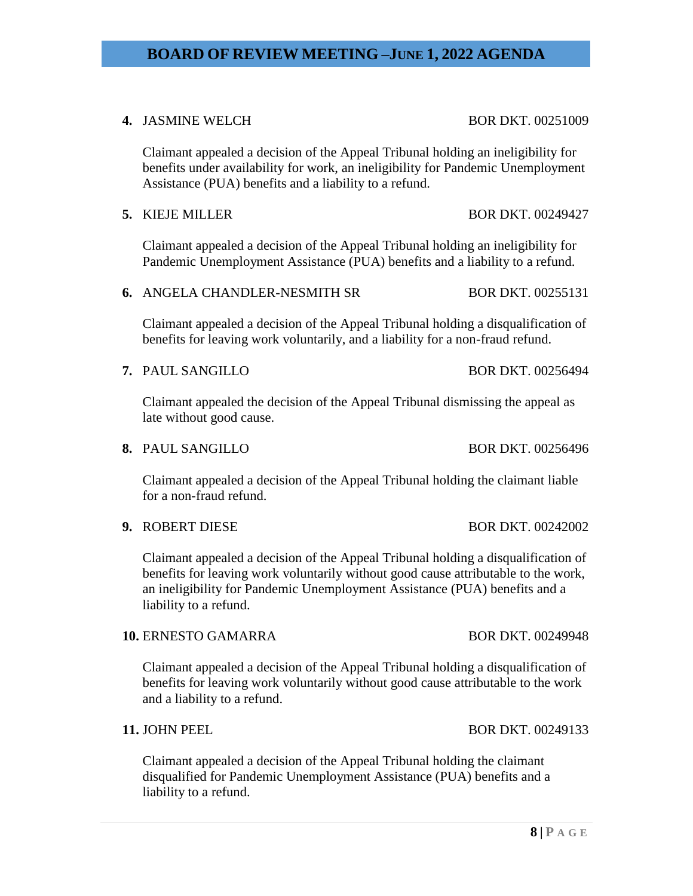### **4. JASMINE WELCH BOR DKT. 00251009**

Claimant appealed a decision of the Appeal Tribunal holding an ineligibility for benefits under availability for work, an ineligibility for Pandemic Unemployment Assistance (PUA) benefits and a liability to a refund.

**5.** KIEJE MILLER BOR DKT. 00249427

Claimant appealed a decision of the Appeal Tribunal holding an ineligibility for Pandemic Unemployment Assistance (PUA) benefits and a liability to a refund.

**6.** ANGELA CHANDLER-NESMITH SR BOR DKT. 00255131

Claimant appealed a decision of the Appeal Tribunal holding a disqualification of benefits for leaving work voluntarily, and a liability for a non-fraud refund.

**7.** PAUL SANGILLO BOR DKT. 00256494

Claimant appealed the decision of the Appeal Tribunal dismissing the appeal as late without good cause.

**8.** PAUL SANGILLO BOR DKT. 00256496

Claimant appealed a decision of the Appeal Tribunal holding the claimant liable for a non-fraud refund.

**9.** ROBERT DIESE BOR DKT. 00242002

Claimant appealed a decision of the Appeal Tribunal holding a disqualification of benefits for leaving work voluntarily without good cause attributable to the work, an ineligibility for Pandemic Unemployment Assistance (PUA) benefits and a liability to a refund.

### **10.** ERNESTO GAMARRA BOR DKT. 00249948

Claimant appealed a decision of the Appeal Tribunal holding a disqualification of benefits for leaving work voluntarily without good cause attributable to the work and a liability to a refund.

### **11. JOHN PEEL BOR DKT. 00249133**

Claimant appealed a decision of the Appeal Tribunal holding the claimant disqualified for Pandemic Unemployment Assistance (PUA) benefits and a liability to a refund.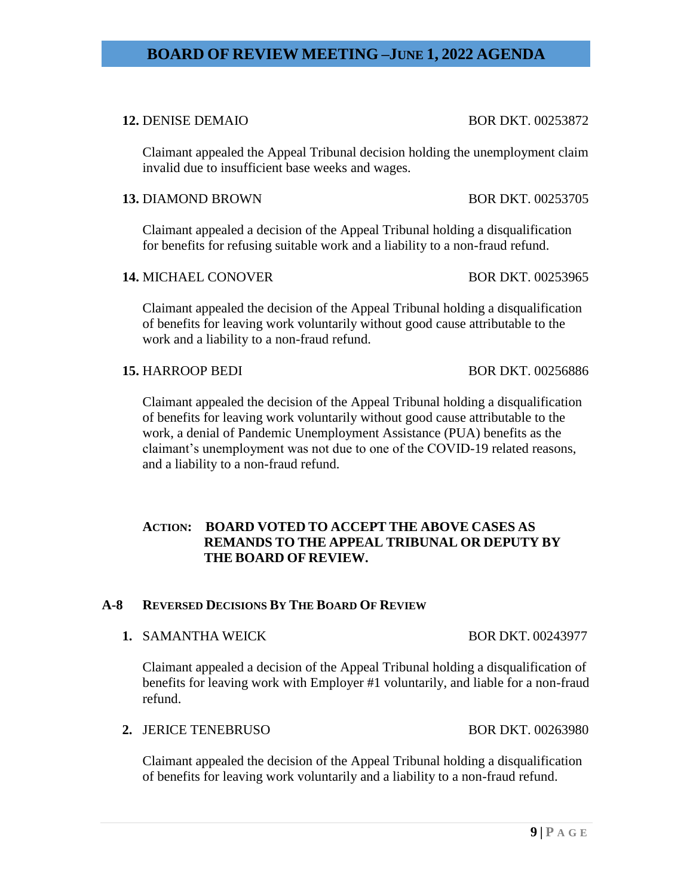### **12.** DENISE DEMAIO BOR DKT. 00253872

Claimant appealed the Appeal Tribunal decision holding the unemployment claim invalid due to insufficient base weeks and wages.

### **13.** DIAMOND BROWN BOR DKT. 00253705

Claimant appealed a decision of the Appeal Tribunal holding a disqualification for benefits for refusing suitable work and a liability to a non-fraud refund.

### **14.** MICHAEL CONOVER BOR DKT. 00253965

Claimant appealed the decision of the Appeal Tribunal holding a disqualification of benefits for leaving work voluntarily without good cause attributable to the work and a liability to a non-fraud refund.

### **15. HARROOP BEDI** BOR DKT. 00256886

Claimant appealed the decision of the Appeal Tribunal holding a disqualification of benefits for leaving work voluntarily without good cause attributable to the work, a denial of Pandemic Unemployment Assistance (PUA) benefits as the claimant's unemployment was not due to one of the COVID-19 related reasons, and a liability to a non-fraud refund.

### **ACTION: BOARD VOTED TO ACCEPT THE ABOVE CASES AS REMANDS TO THE APPEAL TRIBUNAL OR DEPUTY BY THE BOARD OF REVIEW.**

### **A-8 REVERSED DECISIONS BY THE BOARD OF REVIEW**

### **1. SAMANTHA WEICK BOR DKT. 00243977**

Claimant appealed a decision of the Appeal Tribunal holding a disqualification of benefits for leaving work with Employer #1 voluntarily, and liable for a non-fraud refund.

### **2.** JERICE TENEBRUSO BOR DKT. 00263980

Claimant appealed the decision of the Appeal Tribunal holding a disqualification of benefits for leaving work voluntarily and a liability to a non-fraud refund.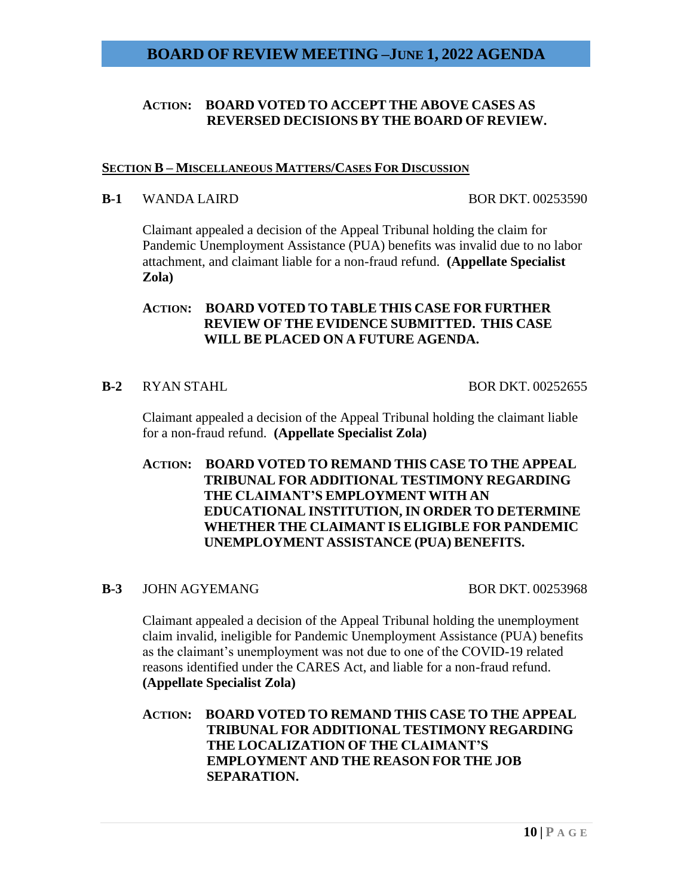### **ACTION: BOARD VOTED TO ACCEPT THE ABOVE CASES AS REVERSED DECISIONS BY THE BOARD OF REVIEW.**

### **SECTION B – MISCELLANEOUS MATTERS/CASES FOR DISCUSSION**

### **B-1** WANDA LAIRD BOR DKT. 00253590

Claimant appealed a decision of the Appeal Tribunal holding the claim for Pandemic Unemployment Assistance (PUA) benefits was invalid due to no labor attachment, and claimant liable for a non-fraud refund. **(Appellate Specialist Zola)**

### **ACTION: BOARD VOTED TO TABLE THIS CASE FOR FURTHER REVIEW OF THE EVIDENCE SUBMITTED. THIS CASE WILL BE PLACED ON A FUTURE AGENDA.**

### **B-2** RYAN STAHL BOR DKT. 00252655

Claimant appealed a decision of the Appeal Tribunal holding the claimant liable for a non-fraud refund. **(Appellate Specialist Zola)**

**ACTION: BOARD VOTED TO REMAND THIS CASE TO THE APPEAL TRIBUNAL FOR ADDITIONAL TESTIMONY REGARDING THE CLAIMANT'S EMPLOYMENT WITH AN EDUCATIONAL INSTITUTION, IN ORDER TO DETERMINE WHETHER THE CLAIMANT IS ELIGIBLE FOR PANDEMIC UNEMPLOYMENT ASSISTANCE (PUA) BENEFITS.**

### **B-3** JOHN AGYEMANG BOR DKT. 00253968

Claimant appealed a decision of the Appeal Tribunal holding the unemployment claim invalid, ineligible for Pandemic Unemployment Assistance (PUA) benefits as the claimant's unemployment was not due to one of the COVID-19 related reasons identified under the CARES Act, and liable for a non-fraud refund. **(Appellate Specialist Zola)**

**ACTION: BOARD VOTED TO REMAND THIS CASE TO THE APPEAL TRIBUNAL FOR ADDITIONAL TESTIMONY REGARDING THE LOCALIZATION OF THE CLAIMANT'S EMPLOYMENT AND THE REASON FOR THE JOB SEPARATION.**